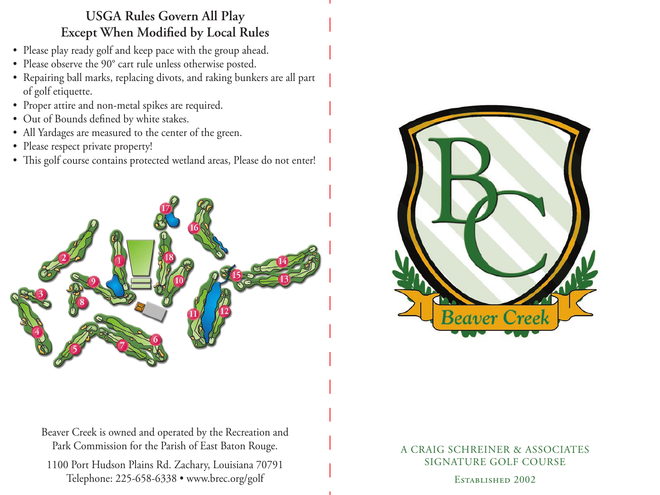## **USGA Rules Govern All Play Except When Modified by Local Rules**

- Please play ready golf and keep pace with the group ahead.
- Please observe the 90° cart rule unless otherwise posted.
- Repairing ball marks, replacing divots, and raking bunkers are all part of golf etiquette.
- Proper attire and non-metal spikes are required.
- Out of Bounds defined by white stakes.
- All Yardages are measured to the center of the green.
- Please respect private property!
- This golf course contains protected wetland areas, Please do not enter!





Beaver Creek is owned and operated by the Recreation and Park Commission for the Parish of East Baton Rouge.

1100 Port Hudson Plains Rd. Zachary, Louisiana 70791 Telephone: 225-658-6338 • www.brec.org/golf

## A CRAIG SCHREINER & ASSOCIATES SIGNATURE GOLF COURSE

Established 2002